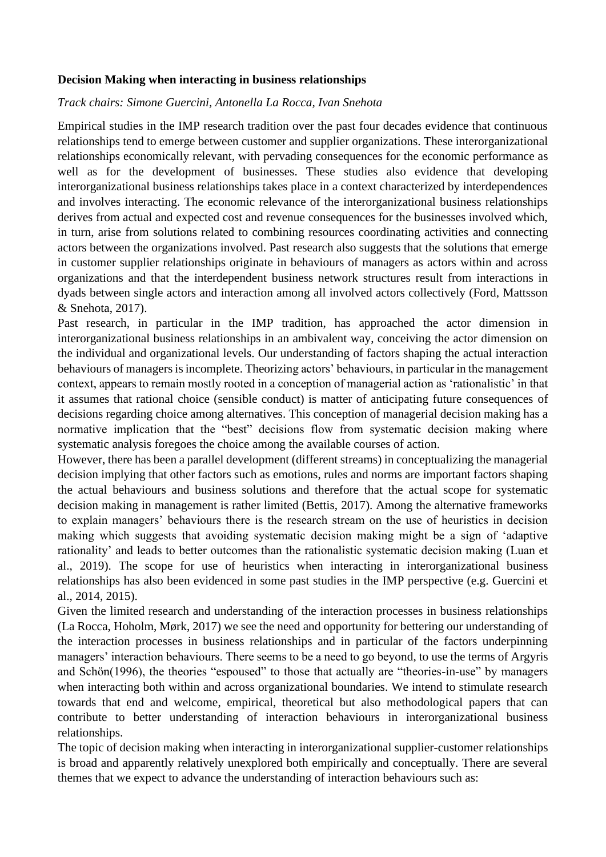## **Decision Making when interacting in business relationships**

## *Track chairs: Simone Guercini, Antonella La Rocca, Ivan Snehota*

Empirical studies in the IMP research tradition over the past four decades evidence that continuous relationships tend to emerge between customer and supplier organizations. These interorganizational relationships economically relevant, with pervading consequences for the economic performance as well as for the development of businesses. These studies also evidence that developing interorganizational business relationships takes place in a context characterized by interdependences and involves interacting. The economic relevance of the interorganizational business relationships derives from actual and expected cost and revenue consequences for the businesses involved which, in turn, arise from solutions related to combining resources coordinating activities and connecting actors between the organizations involved. Past research also suggests that the solutions that emerge in customer supplier relationships originate in behaviours of managers as actors within and across organizations and that the interdependent business network structures result from interactions in dyads between single actors and interaction among all involved actors collectively (Ford, Mattsson & Snehota, 2017).

Past research, in particular in the IMP tradition, has approached the actor dimension in interorganizational business relationships in an ambivalent way, conceiving the actor dimension on the individual and organizational levels. Our understanding of factors shaping the actual interaction behaviours of managers is incomplete. Theorizing actors' behaviours, in particular in the management context, appears to remain mostly rooted in a conception of managerial action as 'rationalistic' in that it assumes that rational choice (sensible conduct) is matter of anticipating future consequences of decisions regarding choice among alternatives. This conception of managerial decision making has a normative implication that the "best" decisions flow from systematic decision making where systematic analysis foregoes the choice among the available courses of action.

However, there has been a parallel development (different streams) in conceptualizing the managerial decision implying that other factors such as emotions, rules and norms are important factors shaping the actual behaviours and business solutions and therefore that the actual scope for systematic decision making in management is rather limited (Bettis, 2017). Among the alternative frameworks to explain managers' behaviours there is the research stream on the use of heuristics in decision making which suggests that avoiding systematic decision making might be a sign of 'adaptive rationality' and leads to better outcomes than the rationalistic systematic decision making (Luan et al., 2019). The scope for use of heuristics when interacting in interorganizational business relationships has also been evidenced in some past studies in the IMP perspective (e.g. Guercini et al., 2014, 2015).

Given the limited research and understanding of the interaction processes in business relationships (La Rocca, Hoholm, Mørk, 2017) we see the need and opportunity for bettering our understanding of the interaction processes in business relationships and in particular of the factors underpinning managers' interaction behaviours. There seems to be a need to go beyond, to use the terms of Argyris and Schön(1996), the theories "espoused" to those that actually are "theories-in-use" by managers when interacting both within and across organizational boundaries. We intend to stimulate research towards that end and welcome, empirical, theoretical but also methodological papers that can contribute to better understanding of interaction behaviours in interorganizational business relationships.

The topic of decision making when interacting in interorganizational supplier-customer relationships is broad and apparently relatively unexplored both empirically and conceptually. There are several themes that we expect to advance the understanding of interaction behaviours such as: